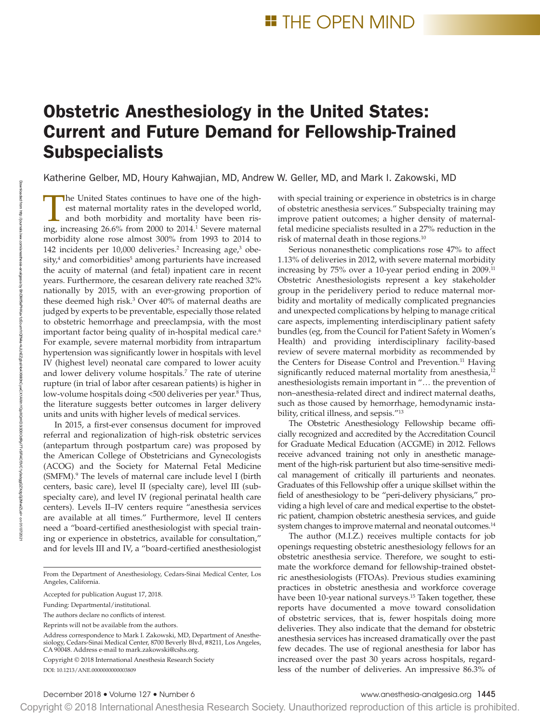# Obstetric Anesthesiology in the United States: Current and Future Demand for Fellowship-Trained **Subspecialists**

Katherine Gelber, MD, Houry Kahwajian, MD, Andrew W. Geller, MD, and Mark I. Zakowski, MD

The United States continues to have one of the highest maternal mortality rates in the developed world, and both morbidity and mortality have been rising, increasing 26.6% from 2000 to 2014.1 Severe maternal morbidity alone rose almost 300% from 1993 to 2014 to 142 incidents per 10,000 deliveries.<sup>2</sup> Increasing age,<sup>3</sup> obesity,<sup>4</sup> and comorbidities<sup>5</sup> among parturients have increased the acuity of maternal (and fetal) inpatient care in recent years. Furthermore, the cesarean delivery rate reached 32% nationally by 2015, with an ever-growing proportion of these deemed high risk.3 Over 40% of maternal deaths are judged by experts to be preventable, especially those related to obstetric hemorrhage and preeclampsia, with the most important factor being quality of in-hospital medical care.<sup>6</sup> For example, severe maternal morbidity from intrapartum hypertension was significantly lower in hospitals with level IV (highest level) neonatal care compared to lower acuity and lower delivery volume hospitals.<sup>7</sup> The rate of uterine rupture (in trial of labor after cesarean patients) is higher in low-volume hospitals doing <500 deliveries per year.<sup>8</sup> Thus, the literature suggests better outcomes in larger delivery units and units with higher levels of medical services.

In 2015, a first-ever consensus document for improved referral and regionalization of high-risk obstetric services (antepartum through postpartum care) was proposed by the American College of Obstetricians and Gynecologists (ACOG) and the Society for Maternal Fetal Medicine (SMFM).<sup>9</sup> The levels of maternal care include level I (birth centers, basic care), level II (specialty care), level III (subspecialty care), and level IV (regional perinatal health care centers). Levels II–IV centers require "anesthesia services are available at all times." Furthermore, level II centers need a "board-certified anesthesiologist with special training or experience in obstetrics, available for consultation," and for levels III and IV, a "board-certified anesthesiologist

From the Department of Anesthesiology, Cedars-Sinai Medical Center, Los Angeles, California.

Accepted for publication August 17, 2018.

Funding: Departmental/institutional.

The authors declare no conflicts of interest.

Reprints will not be available from the authors.

Address correspondence to Mark I. Zakowski, MD, Department of Anesthesiology, Cedars-Sinai Medical Center, 8700 Beverly Blvd, #8211, Los Angeles, CA 90048. Address e-mail to [mark.zakowski@cshs.org](mailto:mark.zakowski@cshs.org).

DOI: 10.1213/ANE.0000000000003809 Copyright © 2018 International Anesthesia Research Society with special training or experience in obstetrics is in charge of obstetric anesthesia services." Subspecialty training may improve patient outcomes; a higher density of maternalfetal medicine specialists resulted in a 27% reduction in the risk of maternal death in those regions.10

Serious nonanesthetic complications rose 47% to affect 1.13% of deliveries in 2012, with severe maternal morbidity increasing by 75% over a 10-year period ending in 2009.<sup>11</sup> Obstetric Anesthesiologists represent a key stakeholder group in the peridelivery period to reduce maternal morbidity and mortality of medically complicated pregnancies and unexpected complications by helping to manage critical care aspects, implementing interdisciplinary patient safety bundles (eg, from the Council for Patient Safety in Women's Health) and providing interdisciplinary facility-based review of severe maternal morbidity as recommended by the Centers for Disease Control and Prevention.<sup>11</sup> Having significantly reduced maternal mortality from anesthesia,<sup>12</sup> anesthesiologists remain important in "… the prevention of non–anesthesia-related direct and indirect maternal deaths, such as those caused by hemorrhage, hemodynamic instability, critical illness, and sepsis."13

The Obstetric Anesthesiology Fellowship became officially recognized and accredited by the Accreditation Council for Graduate Medical Education (ACGME) in 2012. Fellows receive advanced training not only in anesthetic management of the high-risk parturient but also time-sensitive medical management of critically ill parturients and neonates. Graduates of this Fellowship offer a unique skillset within the field of anesthesiology to be "peri-delivery physicians," providing a high level of care and medical expertise to the obstetric patient, champion obstetric anesthesia services, and guide system changes to improve maternal and neonatal outcomes.<sup>14</sup>

The author (M.I.Z.) receives multiple contacts for job openings requesting obstetric anesthesiology fellows for an obstetric anesthesia service. Therefore, we sought to estimate the workforce demand for fellowship-trained obstetric anesthesiologists (FTOAs). Previous studies examining practices in obstetric anesthesia and workforce coverage have been 10-year national surveys.<sup>15</sup> Taken together, these reports have documented a move toward consolidation of obstetric services, that is, fewer hospitals doing more deliveries. They also indicate that the demand for obstetric anesthesia services has increased dramatically over the past few decades. The use of regional anesthesia for labor has increased over the past 30 years across hospitals, regardless of the number of deliveries. An impressive 86.3% of

Copyright © 2018 International Anesthesia Research Society. Unauthorized reproduction of this article is prohibited.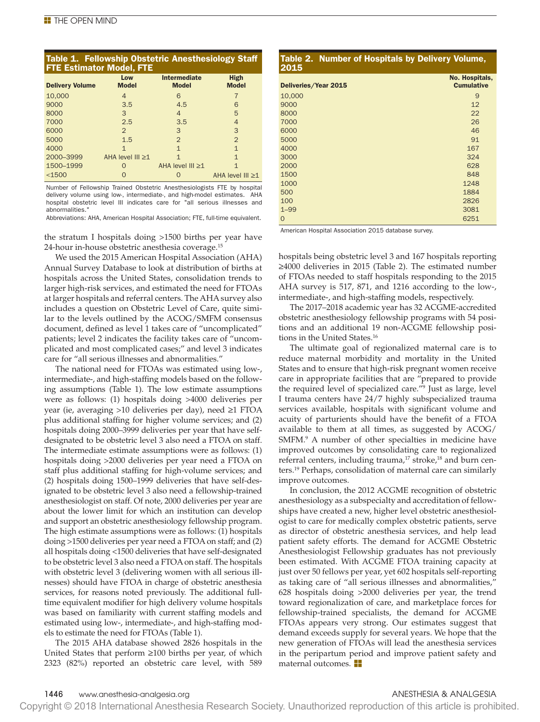## Table 1. Fellowship Obstetric Anesthesiology Staff FTE Estimator Model, FTE

| <b>Delivery Volume</b> | Low<br><b>Model</b>   | Intermediate<br><b>Model</b> | <b>High</b><br><b>Model</b> |
|------------------------|-----------------------|------------------------------|-----------------------------|
| 10,000                 | 4                     | 6                            |                             |
| 9000                   | 3.5                   | 4.5                          | 6                           |
| 8000                   | 3                     | 4                            | 5                           |
| 7000                   | 2.5                   | 3.5                          | 4                           |
| 6000                   | 2                     | 3                            | 3                           |
| 5000                   | 1.5                   | $\overline{2}$               | $\overline{2}$              |
| 4000                   | 1                     | $\mathbf{1}$                 | $\mathbf{1}$                |
| 2000-3999              | AHA level $III \ge 1$ | 1                            | 1                           |
| 1500-1999              | $\Omega$              | AHA level $III \ge 1$        | 1                           |
| $<$ 1500               |                       |                              | AHA level $III \ge 1$       |

Number of Fellowship Trained Obstetric Anesthesiologists FTE by hospital delivery volume using low-, intermediate-, and high-model estimates. AHA hospital obstetric level III indicates care for "all serious illnesses and abnormalities.

Abbreviations: AHA, American Hospital Association; FTE, full-time equivalent.

the stratum I hospitals doing >1500 births per year have 24-hour in-house obstetric anesthesia coverage.15

We used the 2015 American Hospital Association (AHA) Annual Survey Database to look at distribution of births at hospitals across the United States, consolidation trends to larger high-risk services, and estimated the need for FTOAs at larger hospitals and referral centers. The AHA survey also includes a question on Obstetric Level of Care, quite similar to the levels outlined by the ACOG/SMFM consensus document, defined as level 1 takes care of "uncomplicated" patients; level 2 indicates the facility takes care of "uncomplicated and most complicated cases;" and level 3 indicates care for "all serious illnesses and abnormalities."

The national need for FTOAs was estimated using low-, intermediate-, and high-staffing models based on the following assumptions (Table 1). The low estimate assumptions were as follows: (1) hospitals doing >4000 deliveries per year (ie, averaging >10 deliveries per day), need ≥1 FTOA plus additional staffing for higher volume services; and (2) hospitals doing 2000–3999 deliveries per year that have selfdesignated to be obstetric level 3 also need a FTOA on staff. The intermediate estimate assumptions were as follows: (1) hospitals doing >2000 deliveries per year need a FTOA on staff plus additional staffing for high-volume services; and (2) hospitals doing 1500–1999 deliveries that have self-designated to be obstetric level 3 also need a fellowship-trained anesthesiologist on staff. Of note, 2000 deliveries per year are about the lower limit for which an institution can develop and support an obstetric anesthesiology fellowship program. The high estimate assumptions were as follows: (1) hospitals doing >1500 deliveries per year need a FTOA on staff; and (2) all hospitals doing <1500 deliveries that have self-designated to be obstetric level 3 also need a FTOA on staff. The hospitals with obstetric level 3 (delivering women with all serious illnesses) should have FTOA in charge of obstetric anesthesia services, for reasons noted previously. The additional fulltime equivalent modifier for high delivery volume hospitals was based on familiarity with current staffing models and estimated using low-, intermediate-, and high-staffing models to estimate the need for FTOAs (Table 1).

The 2015 AHA database showed 2826 hospitals in the United States that perform ≥100 births per year, of which 2323 (82%) reported an obstetric care level, with 589

### Table 2. Number of Hospitals by Delivery Volume, 2015 Deliveries/Year 2015 No. Hospitals, **Cumulative** 10,000 9 9000 12 8000 22 7000 26 6000 46  $5000$  91 4000 **167** 3000 324 2000 628 1500 848 1000 1248 500 1884 100 2826  $1-99$  3081  $0$  6251

American Hospital Association 2015 database survey.

hospitals being obstetric level 3 and 167 hospitals reporting ≥4000 deliveries in 2015 (Table 2). The estimated number of FTOAs needed to staff hospitals responding to the 2015 AHA survey is 517, 871, and 1216 according to the low-, intermediate-, and high-staffing models, respectively.

The 2017–2018 academic year has 32 ACGME-accredited obstetric anesthesiology fellowship programs with 54 positions and an additional 19 non-ACGME fellowship positions in the United States.16

The ultimate goal of regionalized maternal care is to reduce maternal morbidity and mortality in the United States and to ensure that high-risk pregnant women receive care in appropriate facilities that are "prepared to provide the required level of specialized care."9 Just as large, level I trauma centers have 24/7 highly subspecialized trauma services available, hospitals with significant volume and acuity of parturients should have the benefit of a FTOA available to them at all times, as suggested by ACOG/ SMFM.9 A number of other specialties in medicine have improved outcomes by consolidating care to regionalized referral centers, including trauma,<sup>17</sup> stroke,<sup>18</sup> and burn centers.19 Perhaps, consolidation of maternal care can similarly improve outcomes.

In conclusion, the 2012 ACGME recognition of obstetric anesthesiology as a subspecialty and accreditation of fellowships have created a new, higher level obstetric anesthesiologist to care for medically complex obstetric patients, serve as director of obstetric anesthesia services, and help lead patient safety efforts. The demand for ACGME Obstetric Anesthesiologist Fellowship graduates has not previously been estimated. With ACGME FTOA training capacity at just over 50 fellows per year, yet 602 hospitals self-reporting as taking care of "all serious illnesses and abnormalities," 628 hospitals doing >2000 deliveries per year, the trend toward regionalization of care, and marketplace forces for fellowship-trained specialists, the demand for ACGME FTOAs appears very strong. Our estimates suggest that demand exceeds supply for several years. We hope that the new generation of FTOAs will lead the anesthesia services in the peripartum period and improve patient safety and maternal outcomes. **H** 

Copyright © 2018 International Anesthesia Research Society. Unauthorized reproduction of this article is prohibited.